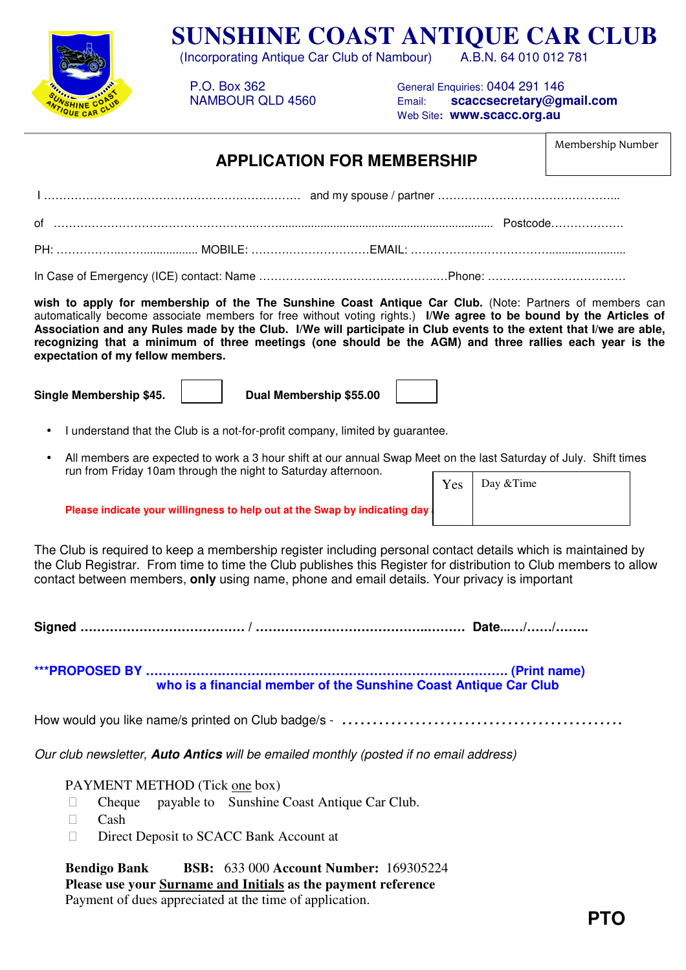

**SUNSHINE COAST ANTIQUE CAR CLUB** 

(Incorporating Antique Car Club of Nambour) A.B.N. 64 010 012 781

P.O. Box 362 General Enquiries: 0404 291 146 NAMBOUR QLD 4560 Email: **scaccsecretary@gmail.com** Web Site**: www.scacc.org.au** 

|                                                                                                                                                                                                                                                                                                                                                                                         | <b>APPLICATION FOR MEMBERSHIP</b>                                |  |  |           | Membership Number |
|-----------------------------------------------------------------------------------------------------------------------------------------------------------------------------------------------------------------------------------------------------------------------------------------------------------------------------------------------------------------------------------------|------------------------------------------------------------------|--|--|-----------|-------------------|
|                                                                                                                                                                                                                                                                                                                                                                                         |                                                                  |  |  |           |                   |
|                                                                                                                                                                                                                                                                                                                                                                                         |                                                                  |  |  |           |                   |
|                                                                                                                                                                                                                                                                                                                                                                                         |                                                                  |  |  |           |                   |
|                                                                                                                                                                                                                                                                                                                                                                                         |                                                                  |  |  |           |                   |
|                                                                                                                                                                                                                                                                                                                                                                                         |                                                                  |  |  |           |                   |
| automatically become associate members for free without voting rights.) I/We agree to be bound by the Articles of<br>Association and any Rules made by the Club. I/We will participate in Club events to the extent that I/we are able,<br>recognizing that a minimum of three meetings (one should be the AGM) and three rallies each year is the<br>expectation of my fellow members. |                                                                  |  |  |           |                   |
| Single Membership \$45.                                                                                                                                                                                                                                                                                                                                                                 | Dual Membership \$55.00                                          |  |  |           |                   |
| I understand that the Club is a not-for-profit company, limited by guarantee.                                                                                                                                                                                                                                                                                                           |                                                                  |  |  |           |                   |
| All members are expected to work a 3 hour shift at our annual Swap Meet on the last Saturday of July. Shift times<br>$\bullet$                                                                                                                                                                                                                                                          |                                                                  |  |  |           |                   |
| run from Friday 10am through the night to Saturday afternoon.                                                                                                                                                                                                                                                                                                                           |                                                                  |  |  | Day &Time |                   |
| Please indicate your willingness to help out at the Swap by indicating day                                                                                                                                                                                                                                                                                                              |                                                                  |  |  |           |                   |
| The Club is required to keep a membership register including personal contact details which is maintained by<br>the Club Registrar. From time to time the Club publishes this Register for distribution to Club members to allow<br>contact between members, only using name, phone and email details. Your privacy is important                                                        |                                                                  |  |  |           |                   |
|                                                                                                                                                                                                                                                                                                                                                                                         |                                                                  |  |  |           |                   |
|                                                                                                                                                                                                                                                                                                                                                                                         | who is a financial member of the Sunshine Coast Antique Car Club |  |  |           |                   |
|                                                                                                                                                                                                                                                                                                                                                                                         |                                                                  |  |  |           |                   |

Our club newsletter, **Auto Antics** will be emailed monthly (posted if no email address)

PAYMENT METHOD (Tick one box) Cheque payable to Sunshine Coast Antique Car Club. Cash Direct Deposit to SCACC Bank Account at

**Bendigo Bank BSB:** 633 000 **Account Number:** 169305224 **Please use your Surname and Initials as the payment reference**  Payment of dues appreciated at the time of application.